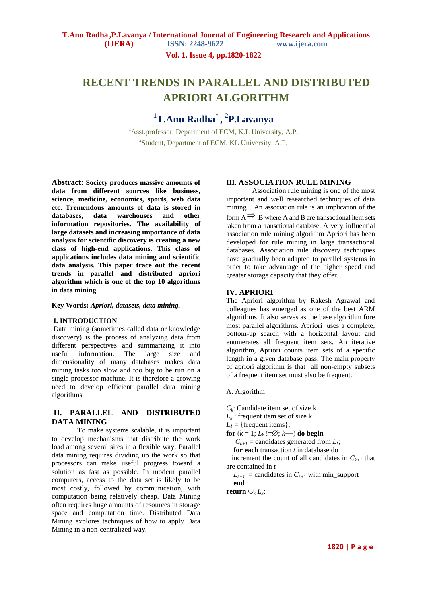**Vol. 1, Issue 4, pp.1820-1822**

# **RECENT TRENDS IN PARALLEL AND DISTRIBUTED APRIORI ALGORITHM**

## **<sup>1</sup>T.Anu Radha\* , 2 P.Lavanya**

 $1<sup>1</sup>$ Asst.professor, Department of ECM, K.L University, A.P. <sup>2</sup>Student, Department of ECM, KL University, A.P.

**Abstract: Society produces massive amounts of data from different sources like business, science, medicine, economics, sports, web data etc. Tremendous amounts of data is stored in databases, data warehouses and other information repositories. The availability of large datasets and increasing importance of data analysis for scientific discovery is creating a new class of high-end applications. This class of applications includes data mining and scientific data analysis. This paper trace out the recent trends in parallel and distributed apriori algorithm which is one of the top 10 algorithms in data mining.**

**Key Words:** *Apriori, datasets, data mining.*

## **I. INTRODUCTION**

Data mining (sometimes called data or knowledge discovery) is the process of analyzing data from different perspectives and summarizing it into useful information. The large size and dimensionality of many databases makes data mining tasks too slow and too big to be run on a single processor machine. It is therefore a growing need to develop efficient parallel data mining algorithms.

## **II. PARALLEL AND DISTRIBUTED DATA MINING**

To make systems scalable, it is important to develop mechanisms that distribute the work load among several sites in a flexible way. Parallel data mining requires dividing up the work so that processors can make useful progress toward a solution as fast as possible. In modern parallel computers, access to the data set is likely to be most costly, followed by communication, with computation being relatively cheap. Data Mining often requires huge amounts of resources in storage space and computation time. Distributed Data Mining explores techniques of how to apply Data Mining in a non-centralized way.

## **III. ASSOCIATION RULE MINING**

Association rule mining is one of the most important and well researched techniques of data mining . An association rule is an implication of the form  $\overrightarrow{A} \Rightarrow B$  where A and B are transactional item sets taken from a transctional database. A very influential association rule mining algorithm Apriori has been developed for rule mining in large transactional databases. Association rule discovery techniques have gradually been adapted to parallel systems in order to take advantage of the higher speed and greater storage capacity that they offer.

## **IV. APRIORI**

The Apriori algorithm by Rakesh Agrawal and colleagues has emerged as one of the best ARM algorithms. It also serves as the base algorithm fore most parallel algorithms. Apriori uses a complete, bottom-up search with a horizontal layout and enumerates all frequent item sets. An iterative algorithm, Apriori counts item sets of a specific length in a given database pass. The main property of apriori algorithm is that all non-empty subsets of a frequent item set must also be frequent.

A. Algorithm

 $C_k$ : Candidate item set of size k

 $L_k$ : frequent item set of size k

 $L_1$  = {frequent items};

**for**  $(k = 1; L_k :=\emptyset; k++)$  **do begin** 

 $C_{k+1}$  = candidates generated from  $L_k$ ;

**for each** transaction *t* in database do

increment the count of all candidates in  $C_{k+1}$  that are contained in *t*

 $L_{k+1}$  = candidates in  $C_{k+1}$  with min\_support

**end**

**return**  $\cup_k L_k$ ;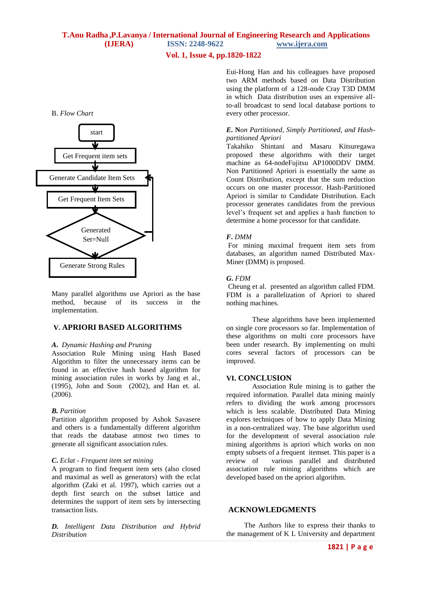## **Vol. 1, Issue 4, pp.1820-1822**

#### B. *Flow Chart*



Many parallel algorithms use Apriori as the base method, because of its success in the implementation.

## **V. APRIORI BASED ALGORITHMS**

#### *A***.** *Dynamic Hashing and Pruning*

Association Rule Mining using Hash Based Algorithm to filter the unnecessary items can be found in an effective hash based algorithm for mining association rules in works by Jang et al., (1995), John and Soon (2002), and Han et. al. (2006).

#### *B. Partition*

Partition algorithm proposed by Ashok Savasere and others is a fundamentally different algorithm that reads the database atmost two times to generate all significant association rules.

#### *C***.** *Eclat - Frequent item set mining*

A program to find frequent item sets (also closed and maximal as well as generators) with the eclat algorithm (Zaki et al. 1997), which carries out a depth first search on the subset lattice and determines the support of item sets by intersecting transaction lists.

*D. Intelligent Data Distribution and Hybrid Distribution*

Eui-Hong Han and his colleagues have proposed two ARM methods based on Data Distribution using the platform of a 128-node Cray T3D DMM in which Data distribution uses an expensive allto-all broadcast to send local database portions to every other processor.

### *E***. N***on Partitioned, Simply Partitioned, and Hashpartitioned Apriori*

Takahiko Shintani and Masaru Kitsuregawa proposed these algorithms with their target machine as 64-nodeFujitsu AP1000DDV DMM. Non Partitioned Apriori is essentially the same as Count Distribution, except that the sum reduction occurs on one master processor. Hash-Partitioned Apriori is similar to Candidate Distribution. Each processor generates candidates from the previous level's frequent set and applies a hash function to determine a home processor for that candidate.

#### *F***.** *DMM*

For mining maximal frequent item sets from databases, an algorithm named Distributed Max-Miner (DMM) is proposed.

#### *G***.** *FDM*

Cheung et al. presented an algorithm called FDM. FDM is a parallelization of Apriori to shared nothing machines.

These algorithms have been implemented on single core processors so far. Implementation of these algorithms on multi core processors have been under research. By implementing on multi cores several factors of processors can be improved.

#### **VI. CONCLUSION**

Association Rule mining is to gather the required information. Parallel data mining mainly refers to dividing the work among processors which is less scalable. Distributed Data Mining explores techniques of how to apply Data Mining in a non-centralized way. The base algorithm used for the development of several association rule mining algorithms is apriori which works on non empty subsets of a frequent itemset. This paper is a review of various parallel and distributed association rule mining algorithms which are developed based on the apriori algorithm.

## **ACKNOWLEDGMENTS**

 The Authors like to express their thanks to the management of K L University and department